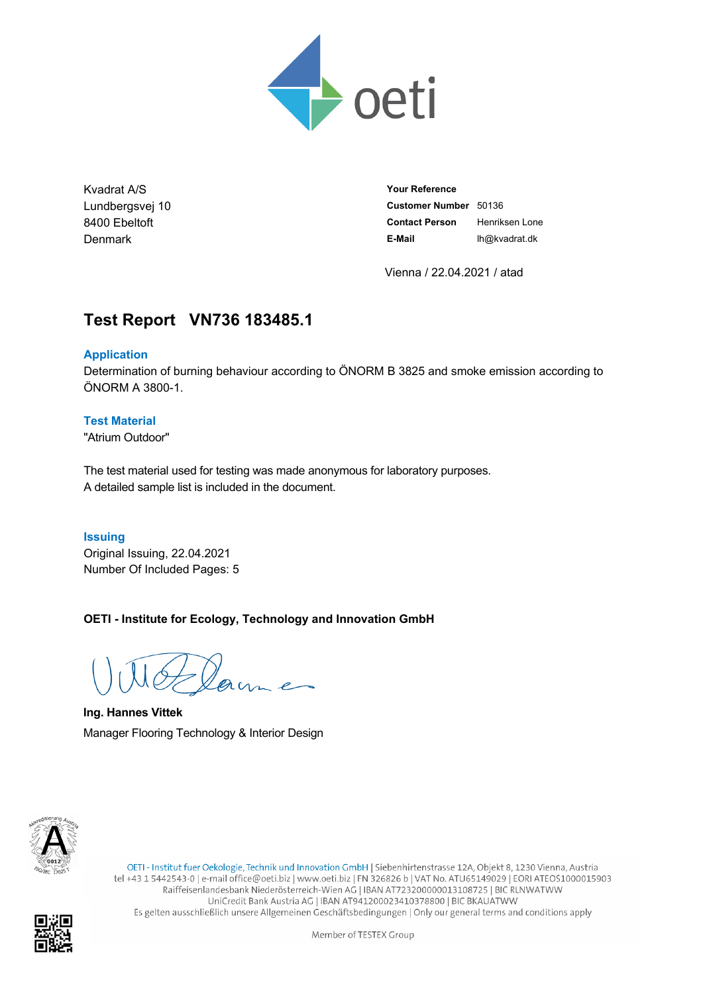

Kvadrat A/S Lundbergsvej 10 8400 Ebeltoft Denmark

**Your Reference Customer Number** 50136 **Contact Person** Henriksen Lone **E-Mail** lh@kvadrat.dk

Vienna / 22.04.2021 / atad

# **Test Report VN736.183485.1**

# **Application**

Determination of burning behaviour according to ÖNORM B 3825 and smoke emission according to ÖNORM A 3800-1.

### **Test Material**

"Atrium Outdoor"

The test material used for testing was made anonymous for laboratory purposes. A detailed sample list is included in the document.

#### **Issuing**

Original Issuing, 22.04.2021 Number Of Included Pages: 5

**OETI - Institute for Ecology, Technology and Innovation GmbH**

**Ing. Hannes Vittek** Manager Flooring Technology & Interior Design



OETI - Institut fuer Oekologie, Technik und Innovation GmbH | Siebenhirtenstrasse 12A, Objekt 8, 1230 Vienna, Austria tel +43 1 5442543-0 | e-mail office@oeti.biz | www.oeti.biz | FN 326826 b | VAT No. ATU65149029 | EORI ATEOS1000015903 Raiffeisenlandesbank Niederösterreich-Wien AG | IBAN AT723200000013108725 | BIC RLNWATWW UniCredit Bank Austria AG | IBAN AT941200023410378800 | BIC BKAUATWW Es gelten ausschließlich unsere Allgemeinen Geschäftsbedingungen | Only our general terms and conditions apply

Member of TESTEX Group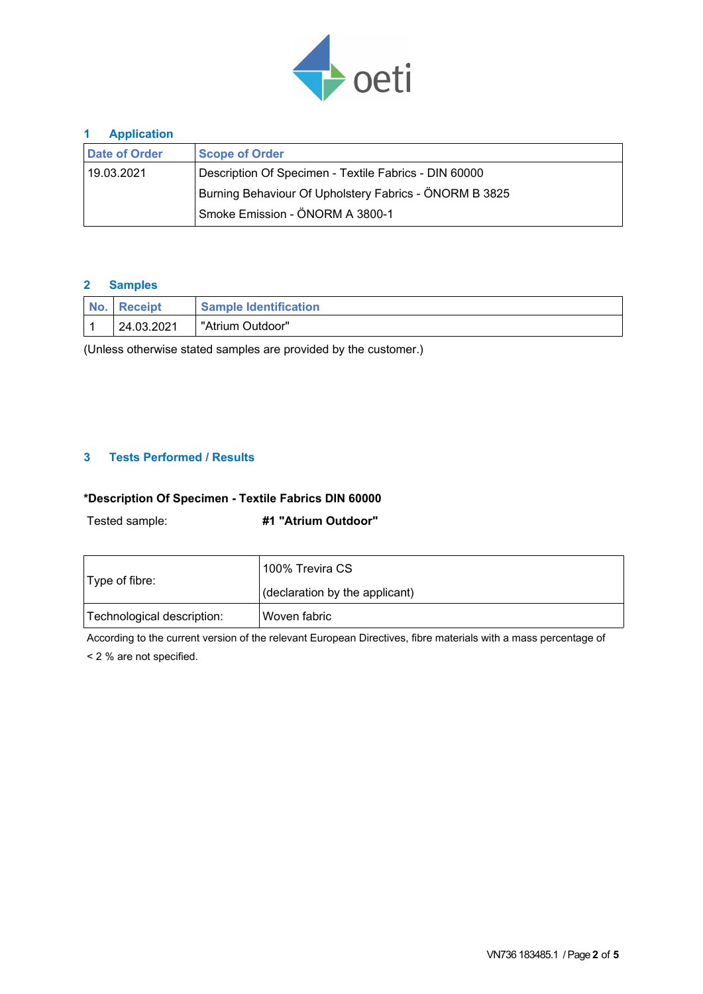

### **1 Application**

| <b>Date of Order</b>                                   | <b>Scope of Order</b>                                 |  |  |  |  |
|--------------------------------------------------------|-------------------------------------------------------|--|--|--|--|
| 19.03.2021                                             | Description Of Specimen - Textile Fabrics - DIN 60000 |  |  |  |  |
| Burning Behaviour Of Upholstery Fabrics - ÖNORM B 3825 |                                                       |  |  |  |  |
|                                                        | Smoke Emission - ÖNORM A 3800-1                       |  |  |  |  |

### **2 Samples**

| No. Receipt | <b>Sample Identification</b> |
|-------------|------------------------------|
| 24.03.2021  | "Atrium Outdoor"             |

(Unless otherwise stated samples are provided by the customer.)

### **3 Tests Performed / Results**

# **\*Description Of Specimen - Textile Fabrics DIN 60000**

Tested sample: **#1 "Atrium Outdoor"**

| Type of fibre:             | 100% Trevira CS                |  |  |
|----------------------------|--------------------------------|--|--|
|                            | (declaration by the applicant) |  |  |
| Technological description: | 'Woven fabric_                 |  |  |

According to the current version of the relevant European Directives, fibre materials with a mass percentage of < 2 % are not specified.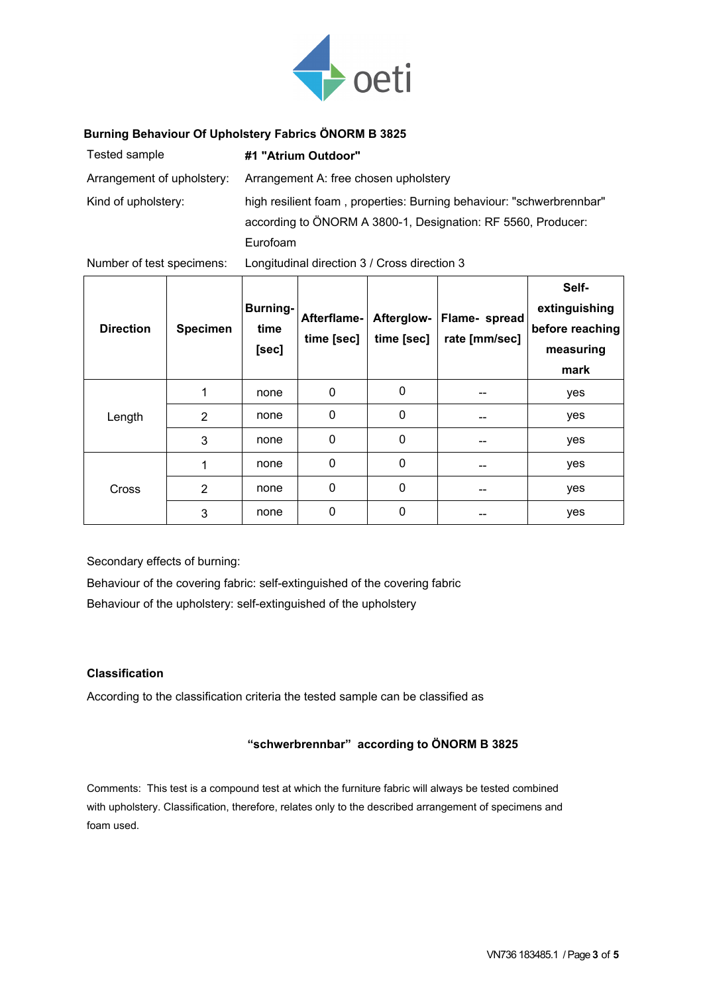

### **Burning Behaviour Of Upholstery Fabrics ÖNORM B 3825**

| Tested sample              | #1 "Atrium Outdoor"                                                  |
|----------------------------|----------------------------------------------------------------------|
| Arrangement of upholstery: | Arrangement A: free chosen upholstery                                |
| Kind of upholstery:        | high resilient foam, properties: Burning behaviour: "schwerbrennbar" |
|                            | according to ÖNORM A 3800-1, Designation: RF 5560, Producer:         |
|                            | Eurofoam                                                             |

Number of test specimens: Longitudinal direction 3 / Cross direction 3

| <b>Direction</b> | <b>Specimen</b> | <b>Burning-</b><br>time<br>[sec] | Afterflame-<br>time [sec] | Afterglow-<br>time [sec] | Flame- spread<br>rate [mm/sec] | Self-<br>extinguishing<br>before reaching<br>measuring<br>mark |
|------------------|-----------------|----------------------------------|---------------------------|--------------------------|--------------------------------|----------------------------------------------------------------|
| Length           | 1               | none                             | 0                         | $\mathbf 0$              | --                             | yes                                                            |
|                  | $\overline{2}$  | none                             | 0                         | 0                        |                                | yes                                                            |
|                  | 3               | none                             | 0                         | 0                        | --                             | yes                                                            |
| Cross            | 1               | none                             | 0                         | $\mathbf{0}$             | --                             | yes                                                            |
|                  | $\overline{2}$  | none                             | 0                         | 0                        |                                | yes                                                            |
|                  | 3               | none                             | 0                         | 0                        |                                | yes                                                            |

Secondary effects of burning:

Behaviour of the covering fabric: self-extinguished of the covering fabric Behaviour of the upholstery: self-extinguished of the upholstery

#### **Classification**

According to the classification criteria the tested sample can be classified as

### **"schwerbrennbar" according to ÖNORM B 3825**

Comments: This test is a compound test at which the furniture fabric will always be tested combined with upholstery. Classification, therefore, relates only to the described arrangement of specimens and foam used.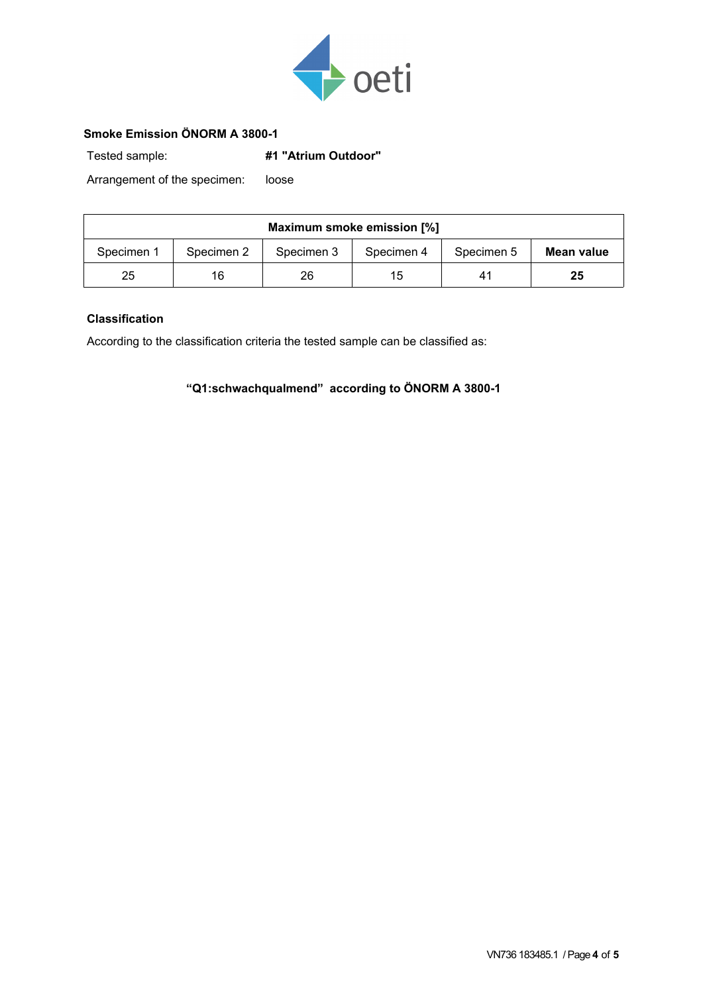

# **Smoke Emission ÖNORM A 3800-1**

Tested sample: **#1 "Atrium Outdoor"**

Arrangement of the specimen: loose

| Maximum smoke emission [%] |            |            |            |            |            |  |  |  |
|----------------------------|------------|------------|------------|------------|------------|--|--|--|
| Specimen 1                 | Specimen 2 | Specimen 3 | Specimen 4 | Specimen 5 | Mean value |  |  |  |
| 25                         | 16         | 26         | 15         | 41         | 25         |  |  |  |

## **Classification**

According to the classification criteria the tested sample can be classified as:

**"Q1:schwachqualmend" according to ÖNORM A 3800-1**